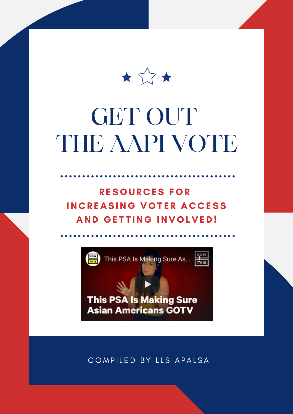

# GET OUT THE AAPI VOTE

RESOURCES FOR IN CREASING VOTER ACCESS AND GETTING INVOLVED!



COMPILED BY LLS APALSA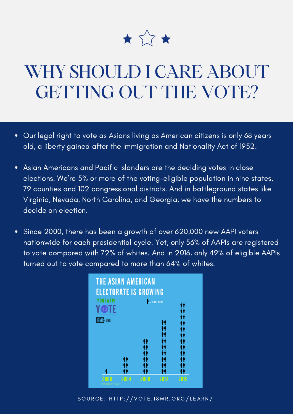

## WHY SHOULD I CARE ABOUT GETTING OUT THE VOTE?

- Our legal right to vote as Asians living as American citizens is only 68 years  $\bullet$ old, a liberty gained after the Immigration and Nationality Act of 1952.
- Asian Americans and Pacific Islanders are the deciding votes in close  $\bullet$ elections. We're 5% or more of the voting-eligible population in nine states, 79 counties and 102 congressional districts. And in battleground states like Virginia, Nevada, North Carolina, and Georgia, we have the numbers to decide an election.
- Since 2000, there has been a growth of over 620,000 new AAPI voters  $\bullet$ nationwide for each presidential cycle. Yet, only 56% of AAPIs are registered to vote compared with 72% of whites. And in 2016, only 49% of eligible AAPIs turned out to vote compared to more than 64% of whites.



SOURCE: HTTP://VOTE.18MR.ORG/LEARN/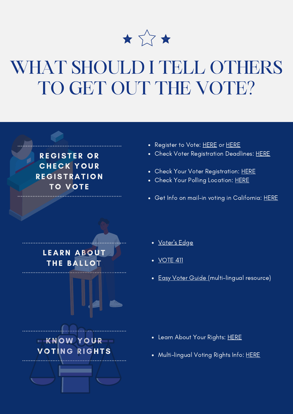

## WHAT SHOULD I TELL OTHERS TO GET OUT THE VOTE?

**REGISTER OR CHECK YOUR REGISTRATION TO VOTE** 

- Register to Vote: [HERE](https://www.apiavote.org/register) or HERE
- Check Voter Registration Deadlines: [HERE](https://www.vote.org/voter-registration-deadlines/)
- Check Your Voter Registration: [HERE](https://lmu.turbovote.org/?r=lls)
- Check Your Polling Location: [HERE](https://www.apiavote.org/voter-information)
- Get Info on mail-in voting in California: [HERE](https://www.sos.ca.gov/elections/voter-registration/vote-mail)



- [Voter's](https://votersedge.org/en/ca) Edge
- **[VOTE](https://www.vote411.org/) 411**
- Easy Voter [Guide](https://easyvoterguide.org/) (multi-lingual resource)

- Learn About Your Rights: [HERE](https://www.apiavote.org/voter-rights)
- Multi-lingual Voting Rights Info: [HERE](https://www.apiavote.org/language-pages)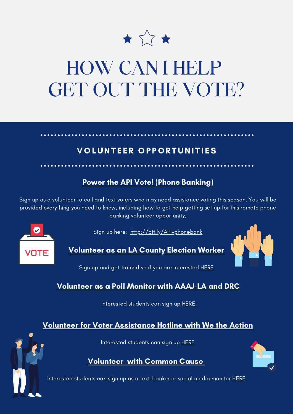

## HOW CAN I HELP GET OUT THE VOTE?

#### VOLUNTEER OPPORTUNITIES

#### Power the API Vote! (Phone Banking)

Sign up as a volunteer to call and text voters who may need assistance voting this season. You will be provided everything you need to know, including how to get help getting set up for this remote phone banking volunteer opportunity.





Volunteer as an LA County Election Worker



Sign up and get trained so if you are interested [HERE](https://forms.office.com/Pages/ResponsePage.aspx?id=S-t2AwbCVkCQYeNC3C7NqPAnavYd30BBhvEuHpL30c1UMVQzU0lRNlY1TjBFRFBMWlFDSjU5Q0pOSS4u)

#### Volunteer as a Poll Monitor with [AAAJ-LA](https://www.advancingjustice-la.org/) and [DRC](https://www.disabilityrightsca.org/)

Interested students can sign up [HERE](https://docs.google.com/forms/d/1WzRuduqEuiBgflqC3Wt7CiKAt_YBfHKcZaj_YwVHPmo/viewform?edit_requested=true)

#### Volunteer for Voter Assistance Hotline with We the [Action](https://wetheaction.org/)

Interested students can sign up [HERE](https://electionprotection.wetheaction.org/)

Volunteer with [Common](https://www.commoncause.org/) Cause



Interested students can sign up as a text-banker or social media monitor [HERE](https://protectthevote.net/?source=ca-lls)